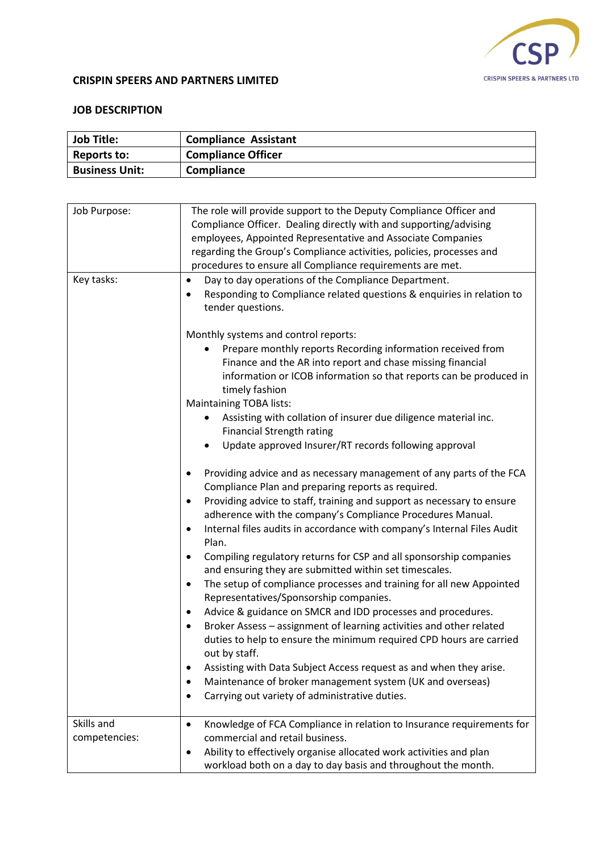

## **CRISPIN SPEERS AND PARTNERS LIMITED**

## **JOB DESCRIPTION**

| <b>Job Title:</b>           | <b>Compliance Assistant</b>                                                                                                                                                                                                                                                                                                                                                                                                                                                                                                                                                                                                                                                                                                                                                                                                                                                                                                                                                                                                                                                                    |
|-----------------------------|------------------------------------------------------------------------------------------------------------------------------------------------------------------------------------------------------------------------------------------------------------------------------------------------------------------------------------------------------------------------------------------------------------------------------------------------------------------------------------------------------------------------------------------------------------------------------------------------------------------------------------------------------------------------------------------------------------------------------------------------------------------------------------------------------------------------------------------------------------------------------------------------------------------------------------------------------------------------------------------------------------------------------------------------------------------------------------------------|
| <b>Reports to:</b>          | <b>Compliance Officer</b>                                                                                                                                                                                                                                                                                                                                                                                                                                                                                                                                                                                                                                                                                                                                                                                                                                                                                                                                                                                                                                                                      |
| <b>Business Unit:</b>       | Compliance                                                                                                                                                                                                                                                                                                                                                                                                                                                                                                                                                                                                                                                                                                                                                                                                                                                                                                                                                                                                                                                                                     |
|                             |                                                                                                                                                                                                                                                                                                                                                                                                                                                                                                                                                                                                                                                                                                                                                                                                                                                                                                                                                                                                                                                                                                |
| Job Purpose:                | The role will provide support to the Deputy Compliance Officer and<br>Compliance Officer. Dealing directly with and supporting/advising<br>employees, Appointed Representative and Associate Companies<br>regarding the Group's Compliance activities, policies, processes and<br>procedures to ensure all Compliance requirements are met.                                                                                                                                                                                                                                                                                                                                                                                                                                                                                                                                                                                                                                                                                                                                                    |
| Key tasks:                  | Day to day operations of the Compliance Department.<br>$\bullet$<br>Responding to Compliance related questions & enquiries in relation to<br>٠<br>tender questions.                                                                                                                                                                                                                                                                                                                                                                                                                                                                                                                                                                                                                                                                                                                                                                                                                                                                                                                            |
|                             | Monthly systems and control reports:<br>Prepare monthly reports Recording information received from<br>Finance and the AR into report and chase missing financial<br>information or ICOB information so that reports can be produced in<br>timely fashion<br><b>Maintaining TOBA lists:</b><br>Assisting with collation of insurer due diligence material inc.<br><b>Financial Strength rating</b><br>Update approved Insurer/RT records following approval                                                                                                                                                                                                                                                                                                                                                                                                                                                                                                                                                                                                                                    |
|                             | Providing advice and as necessary management of any parts of the FCA<br>$\bullet$<br>Compliance Plan and preparing reports as required.<br>Providing advice to staff, training and support as necessary to ensure<br>٠<br>adherence with the company's Compliance Procedures Manual.<br>Internal files audits in accordance with company's Internal Files Audit<br>$\bullet$<br>Plan.<br>Compiling regulatory returns for CSP and all sponsorship companies<br>$\bullet$<br>and ensuring they are submitted within set timescales.<br>The setup of compliance processes and training for all new Appointed<br>Representatives/Sponsorship companies.<br>Advice & guidance on SMCR and IDD processes and procedures.<br>$\bullet$<br>Broker Assess - assignment of learning activities and other related<br>٠<br>duties to help to ensure the minimum required CPD hours are carried<br>out by staff.<br>Assisting with Data Subject Access request as and when they arise.<br>٠<br>Maintenance of broker management system (UK and overseas)<br>Carrying out variety of administrative duties. |
| Skills and<br>competencies: | Knowledge of FCA Compliance in relation to Insurance requirements for<br>$\bullet$<br>commercial and retail business.                                                                                                                                                                                                                                                                                                                                                                                                                                                                                                                                                                                                                                                                                                                                                                                                                                                                                                                                                                          |

• Ability to effectively organise allocated work activities and plan workload both on a day to day basis and throughout the month.